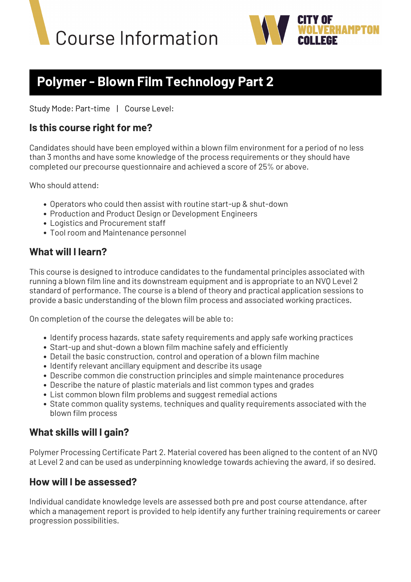



# **Polymer - Blown Film Technology Part 2**

Study Mode: Part-time | Course Level:

### **Is this course right for me?**

Candidates should have been employed within a blown film environment for a period of no less than 3 months and have some knowledge of the process requirements or they should have completed our precourse questionnaire and achieved a score of 25% or above.

Who should attend:

- Operators who could then assist with routine start-up & shut-down
- Production and Product Design or Development Engineers
- Logistics and Procurement staff
- Tool room and Maintenance personnel

## **What will I learn?**

This course is designed to introduce candidates to the fundamental principles associated with running a blown film line and its downstream equipment and is appropriate to an NVQ Level 2 standard of performance. The course is a blend of theory and practical application sessions to provide a basic understanding of the blown film process and associated working practices.

On completion of the course the delegates will be able to:

- Identify process hazards, state safety requirements and apply safe working practices
- Start-up and shut-down a blown film machine safely and efficiently
- Detail the basic construction, control and operation of a blown film machine
- Identify relevant ancillary equipment and describe its usage
- Describe common die construction principles and simple maintenance procedures
- Describe the nature of plastic materials and list common types and grades
- List common blown film problems and suggest remedial actions
- State common quality systems, techniques and quality requirements associated with the blown film process

#### **What skills will I gain?**

Polymer Processing Certificate Part 2. Material covered has been aligned to the content of an NVQ at Level 2 and can be used as underpinning knowledge towards achieving the award, if so desired.

#### **How will I be assessed?**

Individual candidate knowledge levels are assessed both pre and post course attendance, after which a management report is provided to help identify any further training requirements or career progression possibilities.